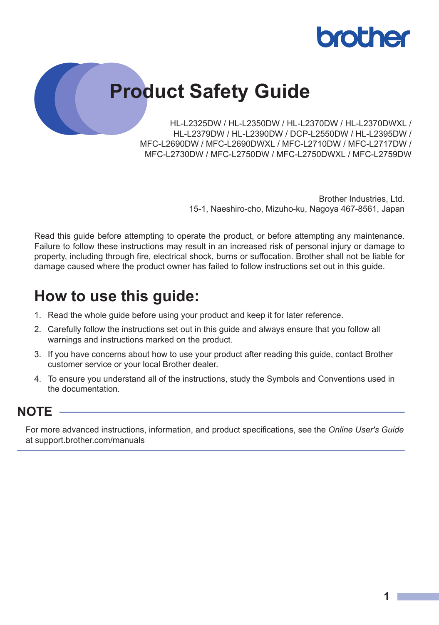

# **Product Safety Guide**

HL-L2325DW / HL-L2350DW / HL-L2370DW / HL-L2370DWXL / HL-L2379DW / HL-L2390DW / DCP-L2550DW / HL-L2395DW / MFC-L2690DW / MFC-L2690DWXL / MFC-L2710DW / MFC-L2717DW / MFC-L2730DW / MFC-L2750DW / MFC-L2750DWXL / MFC-L2759DW

> Brother Industries, Ltd. 15-1, Naeshiro-cho, Mizuho-ku, Nagoya 467-8561, Japan

Read this guide before attempting to operate the product, or before attempting any maintenance. Failure to follow these instructions may result in an increased risk of personal injury or damage to property, including through fire, electrical shock, burns or suffocation. Brother shall not be liable for damage caused where the product owner has failed to follow instructions set out in this guide.

## **How to use this guide:**

- 1. Read the whole guide before using your product and keep it for later reference.
- 2. Carefully follow the instructions set out in this guide and always ensure that you follow all warnings and instructions marked on the product.
- 3. If you have concerns about how to use your product after reading this guide, contact Brother customer service or your local Brother dealer.
- 4. To ensure you understand all of the instructions, study the Symbols and Conventions used in the documentation.

#### **NOTE**

For more advanced instructions, information, and product specifications, see the *Online User's Guide* at [support.brother.com/manuals](https://support.brother.com/manuals/)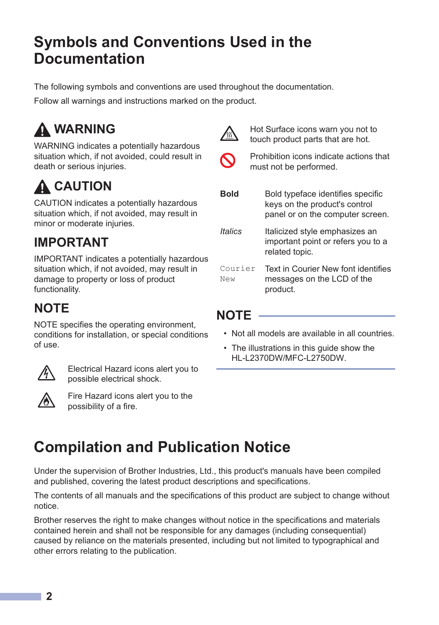## **Symbols and Conventions Used in the Documentation**

The following symbols and conventions are used throughout the documentation.

Follow all warnings and instructions marked on the product.

# **WARNING**

WARNING indicates a potentially hazardous situation which, if not avoided, could result in death or serious injuries.

# $\Lambda$  CAUTION

CAUTION indicates a potentially hazardous situation which, if not avoided, may result in minor or moderate injuries.

### **IMPORTANT**

IMPORTANT indicates a potentially hazardous situation which, if not avoided, may result in damage to property or loss of product functionality.

### **NOTE**

NOTE specifies the operating environment, conditions for installation, or special conditions of use.



Electrical Hazard icons alert you to possible electrical shock.



Fire Hazard icons alert you to the possibility of a fire.



Hot Surface icons warn you not to touch product parts that are hot.



Prohibition icons indicate actions that must not be performed.

**Bold** Bold typeface identifies specific keys on the product's control panel or on the computer screen. *Italics* Italicized style emphasizes an important point or refers you to a related topic.

Courier New Text in Courier New font identifies messages on the LCD of the product.

#### **NOTE**

- Not all models are available in all countries.
- The illustrations in this guide show the HL-L2370DW/MFC-L2750DW.

# **Compilation and Publication Notice**

Under the supervision of Brother Industries, Ltd., this product's manuals have been compiled and published, covering the latest product descriptions and specifications.

The contents of all manuals and the specifications of this product are subject to change without notice.

Brother reserves the right to make changes without notice in the specifications and materials contained herein and shall not be responsible for any damages (including consequential) caused by reliance on the materials presented, including but not limited to typographical and other errors relating to the publication.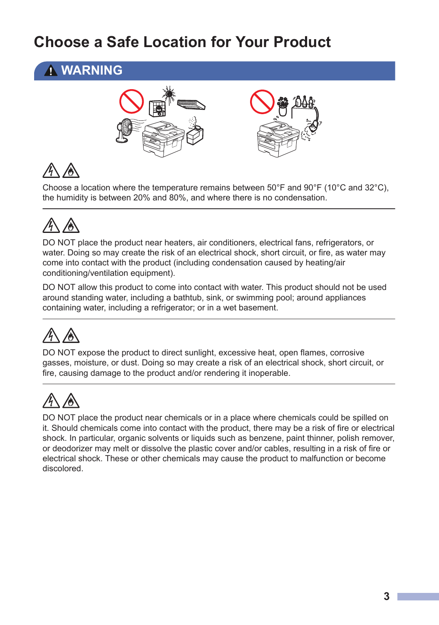# **Choose a Safe Location for Your Product**

### **WARNING**



Choose a location where the temperature remains between  $50^{\circ}$ F and  $90^{\circ}$ F (10 $^{\circ}$ C and 32 $^{\circ}$ C), the humidity is between 20% and 80%, and where there is no condensation.

DO NOT place the product near heaters, air conditioners, electrical fans, refrigerators, or water. Doing so may create the risk of an electrical shock, short circuit, or fire, as water may come into contact with the product (including condensation caused by heating/air conditioning/ventilation equipment).

DO NOT allow this product to come into contact with water. This product should not be used around standing water, including a bathtub, sink, or swimming pool; around appliances containing water, including a refrigerator; or in a wet basement.

DO NOT expose the product to direct sunlight, excessive heat, open flames, corrosive gasses, moisture, or dust. Doing so may create a risk of an electrical shock, short circuit, or fire, causing damage to the product and/or rendering it inoperable.

DO NOT place the product near chemicals or in a place where chemicals could be spilled on it. Should chemicals come into contact with the product, there may be a risk of fire or electrical shock. In particular, organic solvents or liquids such as benzene, paint thinner, polish remover, or deodorizer may melt or dissolve the plastic cover and/or cables, resulting in a risk of fire or electrical shock. These or other chemicals may cause the product to malfunction or become discolored.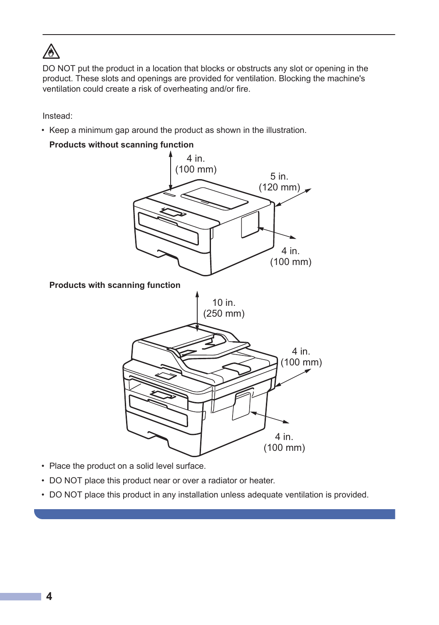# ∕∂∖

DO NOT put the product in a location that blocks or obstructs any slot or opening in the product. These slots and openings are provided for ventilation. Blocking the machine's ventilation could create a risk of overheating and/or fire.

Instead:

• Keep a minimum gap around the product as shown in the illustration.

#### **Products without scanning function**



- Place the product on a solid level surface.
- DO NOT place this product near or over a radiator or heater.
- DO NOT place this product in any installation unless adequate ventilation is provided.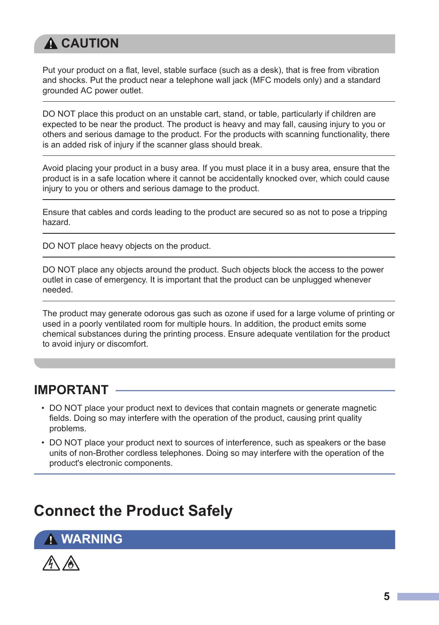## **A CAUTION**

Put your product on a flat, level, stable surface (such as a desk), that is free from vibration and shocks. Put the product near a telephone wall jack (MFC models only) and a standard grounded AC power outlet.

DO NOT place this product on an unstable cart, stand, or table, particularly if children are expected to be near the product. The product is heavy and may fall, causing injury to you or others and serious damage to the product. For the products with scanning functionality, there is an added risk of injury if the scanner glass should break.

Avoid placing your product in a busy area. If you must place it in a busy area, ensure that the product is in a safe location where it cannot be accidentally knocked over, which could cause injury to you or others and serious damage to the product.

Ensure that cables and cords leading to the product are secured so as not to pose a tripping hazard.

DO NOT place heavy objects on the product.

DO NOT place any objects around the product. Such objects block the access to the power outlet in case of emergency. It is important that the product can be unplugged whenever needed.

The product may generate odorous gas such as ozone if used for a large volume of printing or used in a poorly ventilated room for multiple hours. In addition, the product emits some chemical substances during the printing process. Ensure adequate ventilation for the product to avoid injury or discomfort.

### **IMPORTANT**

- DO NOT place your product next to devices that contain magnets or generate magnetic fields. Doing so may interfere with the operation of the product, causing print quality problems.
- DO NOT place your product next to sources of interference, such as speakers or the base units of non-Brother cordless telephones. Doing so may interfere with the operation of the product's electronic components.

# **Connect the Product Safely**

**WARNING**

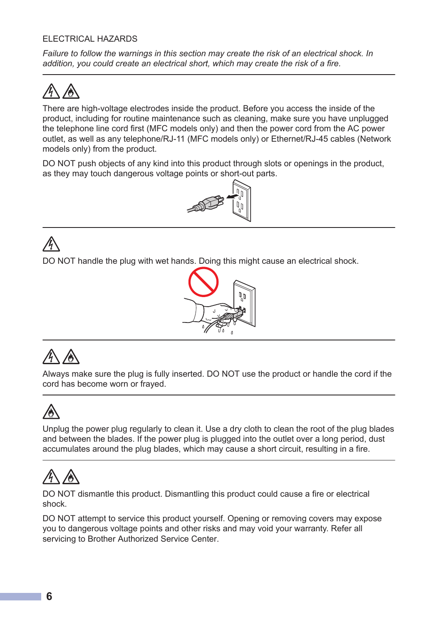#### ELECTRICAL HAZARDS

*Failure to follow the warnings in this section may create the risk of an electrical shock. In addition, you could create an electrical short, which may create the risk of a fire.*

There are high-voltage electrodes inside the product. Before you access the inside of the product, including for routine maintenance such as cleaning, make sure you have unplugged the telephone line cord first (MFC models only) and then the power cord from the AC power outlet, as well as any telephone/RJ-11 (MFC models only) or Ethernet/RJ-45 cables (Network models only) from the product.

DO NOT push objects of any kind into this product through slots or openings in the product, as they may touch dangerous voltage points or short-out parts.



#### DO NOT handle the plug with wet hands. Doing this might cause an electrical shock.



Always make sure the plug is fully inserted. DO NOT use the product or handle the cord if the cord has become worn or frayed.

Unplug the power plug regularly to clean it. Use a dry cloth to clean the root of the plug blades and between the blades. If the power plug is plugged into the outlet over a long period, dust accumulates around the plug blades, which may cause a short circuit, resulting in a fire.

DO NOT dismantle this product. Dismantling this product could cause a fire or electrical shock.

DO NOT attempt to service this product yourself. Opening or removing covers may expose you to dangerous voltage points and other risks and may void your warranty. Refer all servicing to Brother Authorized Service Center.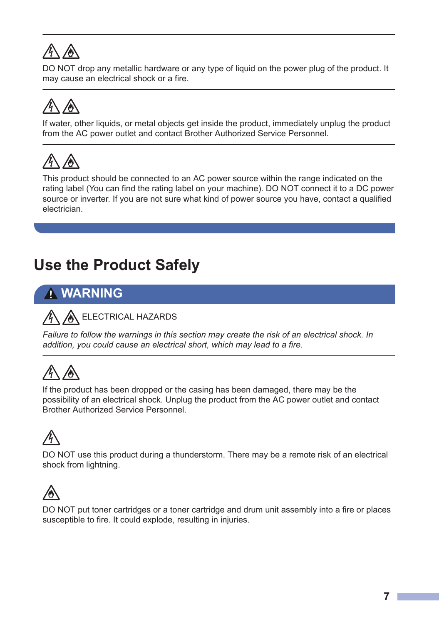DO NOT drop any metallic hardware or any type of liquid on the power plug of the product. It may cause an electrical shock or a fire.

If water, other liquids, or metal objects get inside the product, immediately unplug the product from the AC power outlet and contact Brother Authorized Service Personnel.



This product should be connected to an AC power source within the range indicated on the rating label (You can find the rating label on your machine). DO NOT connect it to a DC power source or inverter. If you are not sure what kind of power source you have, contact a qualified electrician.

# **Use the Product Safely**

### **WARNING**

#### ELECTRICAL HAZARDS

*Failure to follow the warnings in this section may create the risk of an electrical shock. In addition, you could cause an electrical short, which may lead to a fire.*

If the product has been dropped or the casing has been damaged, there may be the possibility of an electrical shock. Unplug the product from the AC power outlet and contact Brother Authorized Service Personnel.

DO NOT use this product during a thunderstorm. There may be a remote risk of an electrical shock from lightning.



DO NOT put toner cartridges or a toner cartridge and drum unit assembly into a fire or places susceptible to fire. It could explode, resulting in injuries.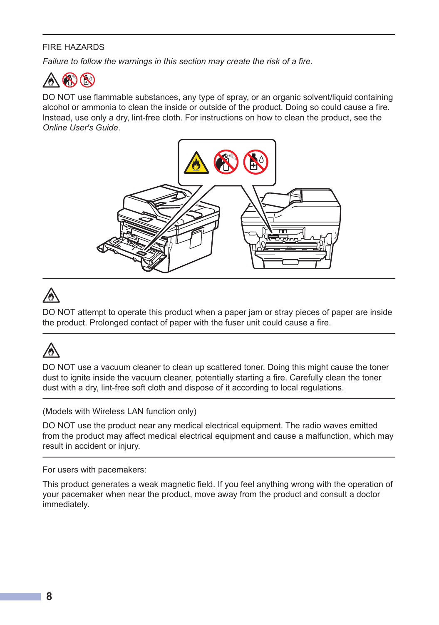#### FIRE HAZARDS

*Failure to follow the warnings in this section may create the risk of a fire.*



DO NOT use flammable substances, any type of spray, or an organic solvent/liquid containing alcohol or ammonia to clean the inside or outside of the product. Doing so could cause a fire. Instead, use only a dry, lint-free cloth. For instructions on how to clean the product, see the *Online User's Guide*.



DO NOT attempt to operate this product when a paper jam or stray pieces of paper are inside the product. Prolonged contact of paper with the fuser unit could cause a fire.

DO NOT use a vacuum cleaner to clean up scattered toner. Doing this might cause the toner dust to ignite inside the vacuum cleaner, potentially starting a fire. Carefully clean the toner dust with a dry, lint-free soft cloth and dispose of it according to local regulations.

(Models with Wireless LAN function only)

DO NOT use the product near any medical electrical equipment. The radio waves emitted from the product may affect medical electrical equipment and cause a malfunction, which may result in accident or injury.

For users with pacemakers:

This product generates a weak magnetic field. If you feel anything wrong with the operation of your pacemaker when near the product, move away from the product and consult a doctor immediately.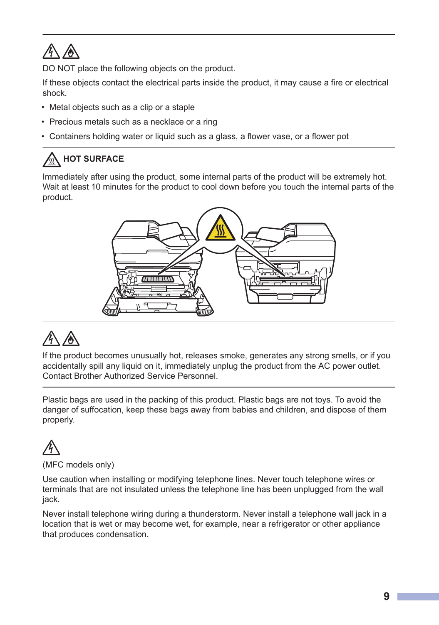# *A* A

DO NOT place the following objects on the product.

If these objects contact the electrical parts inside the product, it may cause a fire or electrical shock.

- Metal objects such as a clip or a staple
- Precious metals such as a necklace or a ring
- Containers holding water or liquid such as a glass, a flower vase, or a flower pot

### **A** HOT SURFACE

Immediately after using the product, some internal parts of the product will be extremely hot. Wait at least 10 minutes for the product to cool down before you touch the internal parts of the product.



If the product becomes unusually hot, releases smoke, generates any strong smells, or if you accidentally spill any liquid on it, immediately unplug the product from the AC power outlet. Contact Brother Authorized Service Personnel.

Plastic bags are used in the packing of this product. Plastic bags are not toys. To avoid the danger of suffocation, keep these bags away from babies and children, and dispose of them properly.

# (MFC models only)

Use caution when installing or modifying telephone lines. Never touch telephone wires or terminals that are not insulated unless the telephone line has been unplugged from the wall jack.

Never install telephone wiring during a thunderstorm. Never install a telephone wall jack in a location that is wet or may become wet, for example, near a refrigerator or other appliance that produces condensation.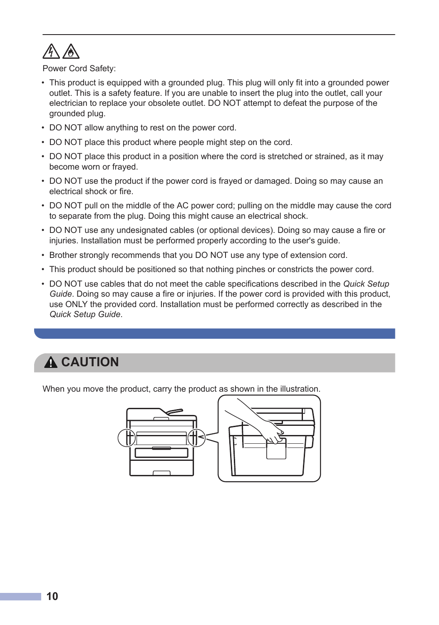

Power Cord Safety:

- This product is equipped with a grounded plug. This plug will only fit into a grounded power outlet. This is a safety feature. If you are unable to insert the plug into the outlet, call your electrician to replace your obsolete outlet. DO NOT attempt to defeat the purpose of the grounded plug.
- DO NOT allow anything to rest on the power cord.
- DO NOT place this product where people might step on the cord.
- DO NOT place this product in a position where the cord is stretched or strained, as it may become worn or frayed.
- DO NOT use the product if the power cord is frayed or damaged. Doing so may cause an electrical shock or fire.
- DO NOT pull on the middle of the AC power cord; pulling on the middle may cause the cord to separate from the plug. Doing this might cause an electrical shock.
- DO NOT use any undesignated cables (or optional devices). Doing so may cause a fire or injuries. Installation must be performed properly according to the user's guide.
- Brother strongly recommends that you DO NOT use any type of extension cord.
- This product should be positioned so that nothing pinches or constricts the power cord.
- DO NOT use cables that do not meet the cable specifications described in the *Quick Setup Guide*. Doing so may cause a fire or injuries. If the power cord is provided with this product, use ONLY the provided cord. Installation must be performed correctly as described in the *Quick Setup Guide*.

### **A CAUTION**

When you move the product, carry the product as shown in the illustration.

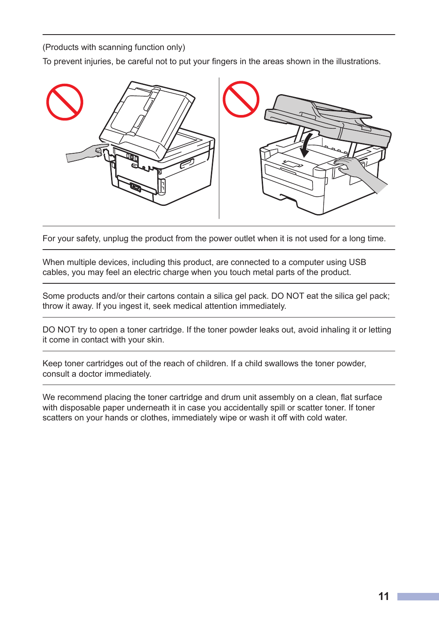(Products with scanning function only)

To prevent injuries, be careful not to put your fingers in the areas shown in the illustrations.



For your safety, unplug the product from the power outlet when it is not used for a long time.

When multiple devices, including this product, are connected to a computer using USB cables, you may feel an electric charge when you touch metal parts of the product.

Some products and/or their cartons contain a silica gel pack. DO NOT eat the silica gel pack; throw it away. If you ingest it, seek medical attention immediately.

DO NOT try to open a toner cartridge. If the toner powder leaks out, avoid inhaling it or letting it come in contact with your skin.

Keep toner cartridges out of the reach of children. If a child swallows the toner powder, consult a doctor immediately.

We recommend placing the toner cartridge and drum unit assembly on a clean, flat surface with disposable paper underneath it in case you accidentally spill or scatter toner. If toner scatters on your hands or clothes, immediately wipe or wash it off with cold water.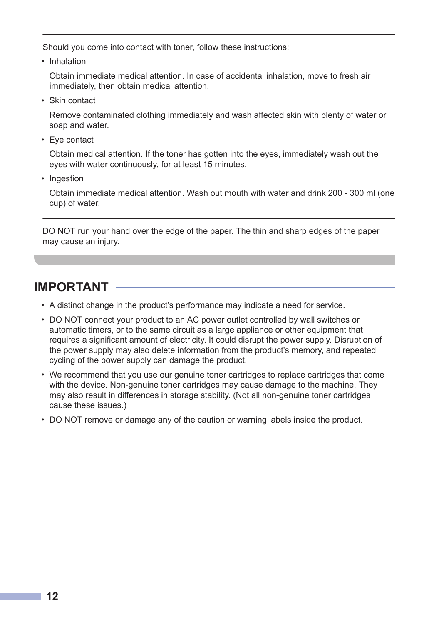Should you come into contact with toner, follow these instructions:

• Inhalation

Obtain immediate medical attention. In case of accidental inhalation, move to fresh air immediately, then obtain medical attention.

• Skin contact

Remove contaminated clothing immediately and wash affected skin with plenty of water or soap and water.

• Eye contact

Obtain medical attention. If the toner has gotten into the eyes, immediately wash out the eyes with water continuously, for at least 15 minutes.

• Ingestion

Obtain immediate medical attention. Wash out mouth with water and drink 200 - 300 ml (one cup) of water.

DO NOT run your hand over the edge of the paper. The thin and sharp edges of the paper may cause an injury.

#### **IMPORTANT**

- A distinct change in the product's performance may indicate a need for service.
- DO NOT connect your product to an AC power outlet controlled by wall switches or automatic timers, or to the same circuit as a large appliance or other equipment that requires a significant amount of electricity. It could disrupt the power supply. Disruption of the power supply may also delete information from the product's memory, and repeated cycling of the power supply can damage the product.
- We recommend that you use our genuine toner cartridges to replace cartridges that come with the device. Non-genuine toner cartridges may cause damage to the machine. They may also result in differences in storage stability. (Not all non-genuine toner cartridges cause these issues.)
- DO NOT remove or damage any of the caution or warning labels inside the product.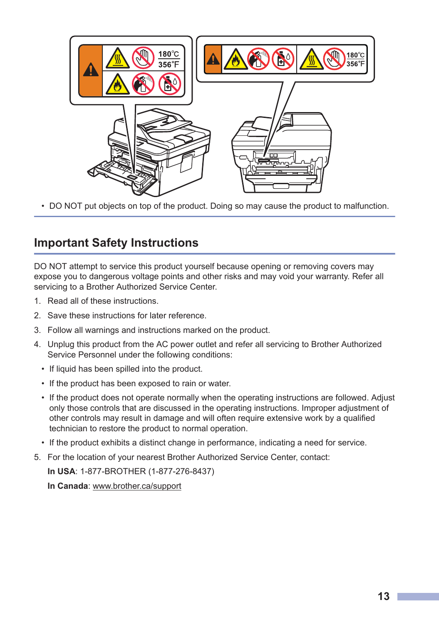

• DO NOT put objects on top of the product. Doing so may cause the product to malfunction.

#### **Important Safety Instructions**

DO NOT attempt to service this product yourself because opening or removing covers may expose you to dangerous voltage points and other risks and may void your warranty. Refer all servicing to a Brother Authorized Service Center.

- 1. Read all of these instructions.
- 2. Save these instructions for later reference.
- 3. Follow all warnings and instructions marked on the product.
- 4. Unplug this product from the AC power outlet and refer all servicing to Brother Authorized Service Personnel under the following conditions:
	- If liquid has been spilled into the product.
	- If the product has been exposed to rain or water.
	- If the product does not operate normally when the operating instructions are followed. Adjust only those controls that are discussed in the operating instructions. Improper adjustment of other controls may result in damage and will often require extensive work by a qualified technician to restore the product to normal operation.
	- If the product exhibits a distinct change in performance, indicating a need for service.
- 5. For the location of your nearest Brother Authorized Service Center, contact:

**In USA**: 1-877-BROTHER (1-877-276-8437)

**In Canada**: [www.brother.ca/support](http://www.brother.ca/support)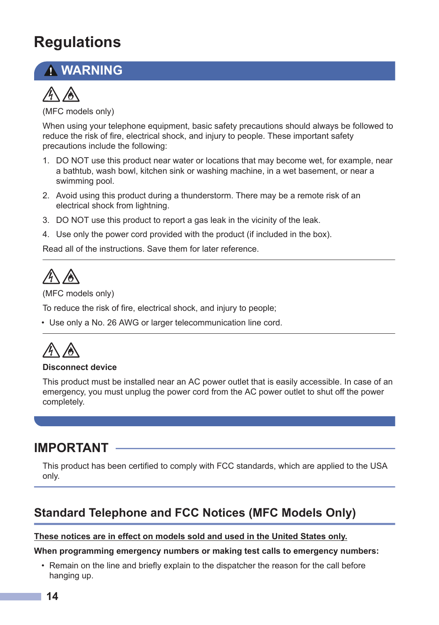# **Regulations**

### **WARNING**



(MFC models only)

When using your telephone equipment, basic safety precautions should always be followed to reduce the risk of fire, electrical shock, and injury to people. These important safety precautions include the following:

- 1. DO NOT use this product near water or locations that may become wet, for example, near a bathtub, wash bowl, kitchen sink or washing machine, in a wet basement, or near a swimming pool.
- 2. Avoid using this product during a thunderstorm. There may be a remote risk of an electrical shock from lightning.
- 3. DO NOT use this product to report a gas leak in the vicinity of the leak.
- 4. Use only the power cord provided with the product (if included in the box).

Read all of the instructions. Save them for later reference.

# $\mathbb{A}$

(MFC models only)

To reduce the risk of fire, electrical shock, and injury to people;

• Use only a No. 26 AWG or larger telecommunication line cord.

#### **Disconnect device**

This product must be installed near an AC power outlet that is easily accessible. In case of an emergency, you must unplug the power cord from the AC power outlet to shut off the power completely.

#### **IMPORTANT**

This product has been certified to comply with FCC standards, which are applied to the USA only.

#### **Standard Telephone and FCC Notices (MFC Models Only)**

#### **These notices are in effect on models sold and used in the United States only.**

#### **When programming emergency numbers or making test calls to emergency numbers:**

• Remain on the line and briefly explain to the dispatcher the reason for the call before hanging up.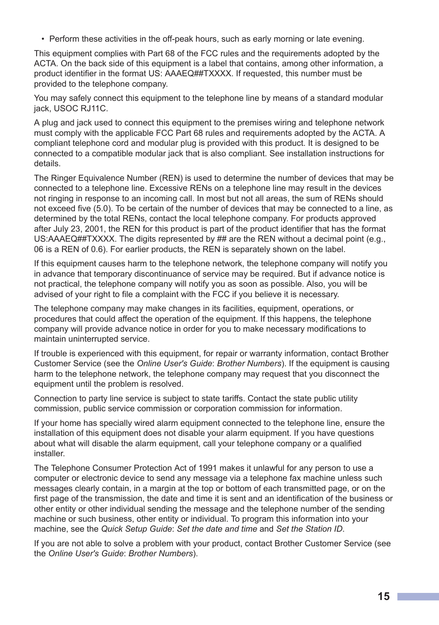• Perform these activities in the off-peak hours, such as early morning or late evening.

This equipment complies with Part 68 of the FCC rules and the requirements adopted by the ACTA. On the back side of this equipment is a label that contains, among other information, a product identifier in the format US: AAAEQ##TXXXX. If requested, this number must be provided to the telephone company.

You may safely connect this equipment to the telephone line by means of a standard modular jack, USOC RJ11C.

A plug and jack used to connect this equipment to the premises wiring and telephone network must comply with the applicable FCC Part 68 rules and requirements adopted by the ACTA. A compliant telephone cord and modular plug is provided with this product. It is designed to be connected to a compatible modular jack that is also compliant. See installation instructions for details.

The Ringer Equivalence Number (REN) is used to determine the number of devices that may be connected to a telephone line. Excessive RENs on a telephone line may result in the devices not ringing in response to an incoming call. In most but not all areas, the sum of RENs should not exceed five (5.0). To be certain of the number of devices that may be connected to a line, as determined by the total RENs, contact the local telephone company. For products approved after July 23, 2001, the REN for this product is part of the product identifier that has the format US:AAAEQ##TXXXX. The digits represented by ## are the REN without a decimal point (e.g., 06 is a REN of 0.6). For earlier products, the REN is separately shown on the label.

If this equipment causes harm to the telephone network, the telephone company will notify you in advance that temporary discontinuance of service may be required. But if advance notice is not practical, the telephone company will notify you as soon as possible. Also, you will be advised of your right to file a complaint with the FCC if you believe it is necessary.

The telephone company may make changes in its facilities, equipment, operations, or procedures that could affect the operation of the equipment. If this happens, the telephone company will provide advance notice in order for you to make necessary modifications to maintain uninterrupted service.

If trouble is experienced with this equipment, for repair or warranty information, contact Brother Customer Service (see the *Online User's Guide*: *Brother Numbers*). If the equipment is causing harm to the telephone network, the telephone company may request that you disconnect the equipment until the problem is resolved.

Connection to party line service is subject to state tariffs. Contact the state public utility commission, public service commission or corporation commission for information.

If your home has specially wired alarm equipment connected to the telephone line, ensure the installation of this equipment does not disable your alarm equipment. If you have questions about what will disable the alarm equipment, call your telephone company or a qualified installer.

The Telephone Consumer Protection Act of 1991 makes it unlawful for any person to use a computer or electronic device to send any message via a telephone fax machine unless such messages clearly contain, in a margin at the top or bottom of each transmitted page, or on the first page of the transmission, the date and time it is sent and an identification of the business or other entity or other individual sending the message and the telephone number of the sending machine or such business, other entity or individual. To program this information into your machine, see the *Quick Setup Guide*: *Set the date and time* and *Set the Station ID*.

If you are not able to solve a problem with your product, contact Brother Customer Service (see the *Online User's Guide*: *Brother Numbers*).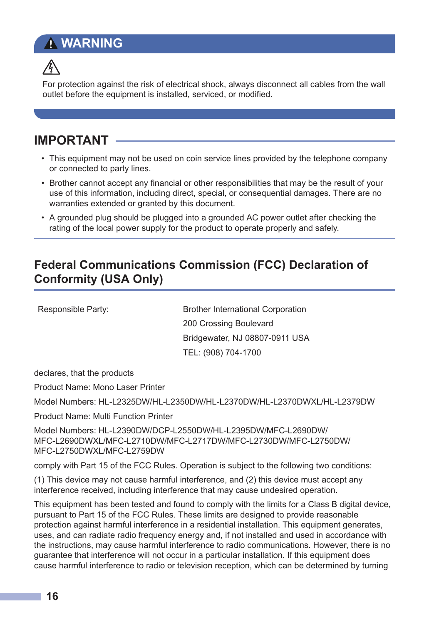### **WARNING**



For protection against the risk of electrical shock, always disconnect all cables from the wall outlet before the equipment is installed, serviced, or modified.

#### **IMPORTANT**

- This equipment may not be used on coin service lines provided by the telephone company or connected to party lines.
- Brother cannot accept any financial or other responsibilities that may be the result of your use of this information, including direct, special, or consequential damages. There are no warranties extended or granted by this document.
- A grounded plug should be plugged into a grounded AC power outlet after checking the rating of the local power supply for the product to operate properly and safely.

#### **Federal Communications Commission (FCC) Declaration of Conformity (USA Only)**

Responsible Party: Brother International Corporation 200 Crossing Boulevard Bridgewater, NJ 08807-0911 USA TEL: (908) 704-1700

declares, that the products

Product Name: Mono Laser Printer

Model Numbers: HL-L2325DW/HL-L2350DW/HL-L2370DW/HL-L2370DWXL/HL-L2379DW

Product Name: Multi Function Printer

Model Numbers: HL-L2390DW/DCP-L2550DW/HL-L2395DW/MFC-L2690DW/ MFC-L2690DWXL/MFC-L2710DW/MFC-L2717DW/MFC-L2730DW/MFC-L2750DW/ MFC-L2750DWXL/MFC-L2759DW

comply with Part 15 of the FCC Rules. Operation is subject to the following two conditions:

(1) This device may not cause harmful interference, and (2) this device must accept any interference received, including interference that may cause undesired operation.

This equipment has been tested and found to comply with the limits for a Class B digital device, pursuant to Part 15 of the FCC Rules. These limits are designed to provide reasonable protection against harmful interference in a residential installation. This equipment generates, uses, and can radiate radio frequency energy and, if not installed and used in accordance with the instructions, may cause harmful interference to radio communications. However, there is no guarantee that interference will not occur in a particular installation. If this equipment does cause harmful interference to radio or television reception, which can be determined by turning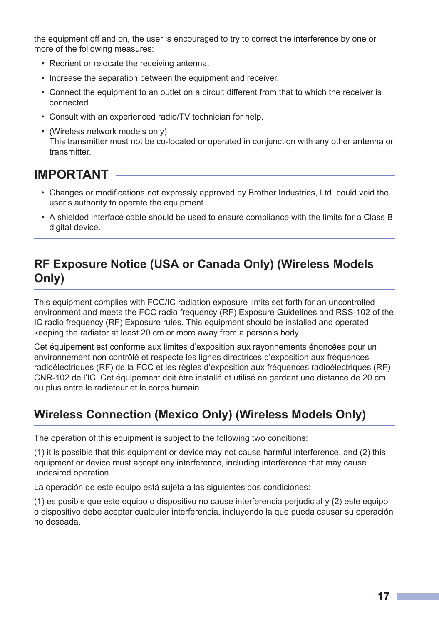the equipment off and on, the user is encouraged to try to correct the interference by one or more of the following measures:

- Reorient or relocate the receiving antenna.
- Increase the separation between the equipment and receiver.
- Connect the equipment to an outlet on a circuit different from that to which the receiver is connected.
- Consult with an experienced radio/TV technician for help.
- (Wireless network models only) This transmitter must not be co-located or operated in conjunction with any other antenna or transmitter.

#### **IMPORTANT**

- Changes or modifications not expressly approved by Brother Industries, Ltd. could void the user's authority to operate the equipment.
- A shielded interface cable should be used to ensure compliance with the limits for a Class B digital device.

#### **RF Exposure Notice (USA or Canada Only) (Wireless Models Only)**

This equipment complies with FCC/IC radiation exposure limits set forth for an uncontrolled environment and meets the FCC radio frequency (RF) Exposure Guidelines and RSS-102 of the IC radio frequency (RF) Exposure rules. This equipment should be installed and operated keeping the radiator at least 20 cm or more away from a person's body.

Cet équipement est conforme aux limites d'exposition aux rayonnements énoncées pour un environnement non contrôlé et respecte les lignes directrices d'exposition aux fréquences radioélectriques (RF) de la FCC et les règles d'exposition aux fréquences radioélectriques (RF) CNR-102 de l'IC. Cet équipement doit être installé et utilisé en gardant une distance de 20 cm ou plus entre le radiateur et le corps humain.

### **Wireless Connection (Mexico Only) (Wireless Models Only)**

The operation of this equipment is subject to the following two conditions:

(1) it is possible that this equipment or device may not cause harmful interference, and (2) this equipment or device must accept any interference, including interference that may cause undesired operation.

La operación de este equipo está sujeta a las siguientes dos condiciones:

(1) es posible que este equipo o dispositivo no cause interferencia perjudicial y (2) este equipo o dispositivo debe aceptar cualquier interferencia, incluyendo la que pueda causar su operación no deseada.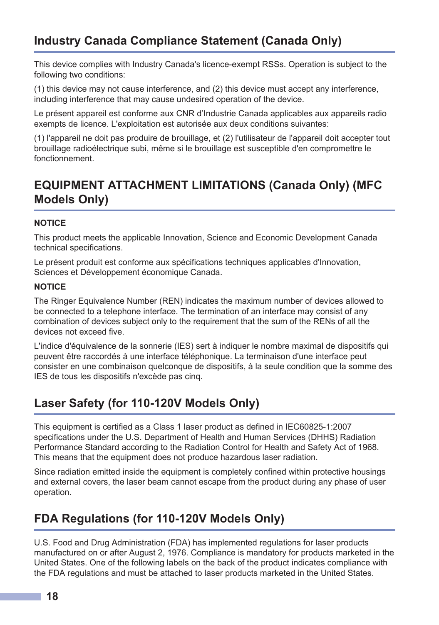This device complies with Industry Canada's licence-exempt RSSs. Operation is subject to the following two conditions:

(1) this device may not cause interference, and (2) this device must accept any interference, including interference that may cause undesired operation of the device.

Le présent appareil est conforme aux CNR d'Industrie Canada applicables aux appareils radio exempts de licence. L'exploitation est autorisée aux deux conditions suivantes:

(1) l'appareil ne doit pas produire de brouillage, et (2) l'utilisateur de l'appareil doit accepter tout brouillage radioélectrique subi, même si le brouillage est susceptible d'en compromettre le fonctionnement.

### **EQUIPMENT ATTACHMENT LIMITATIONS (Canada Only) (MFC Models Only)**

#### **NOTICE**

This product meets the applicable Innovation, Science and Economic Development Canada technical specifications.

Le présent produit est conforme aux spécifications techniques applicables d'Innovation, Sciences et Développement économique Canada.

#### **NOTICE**

The Ringer Equivalence Number (REN) indicates the maximum number of devices allowed to be connected to a telephone interface. The termination of an interface may consist of any combination of devices subject only to the requirement that the sum of the RENs of all the devices not exceed five.

L'indice d'équivalence de la sonnerie (IES) sert à indiquer le nombre maximal de dispositifs qui peuvent être raccordés à une interface téléphonique. La terminaison d'une interface peut consister en une combinaison quelconque de dispositifs, à la seule condition que la somme des IES de tous les dispositifs n'excède pas cinq.

#### **Laser Safety (for 110-120V Models Only)**

This equipment is certified as a Class 1 laser product as defined in IEC60825-1:2007 specifications under the U.S. Department of Health and Human Services (DHHS) Radiation Performance Standard according to the Radiation Control for Health and Safety Act of 1968. This means that the equipment does not produce hazardous laser radiation.

Since radiation emitted inside the equipment is completely confined within protective housings and external covers, the laser beam cannot escape from the product during any phase of user operation.

### **FDA Regulations (for 110-120V Models Only)**

U.S. Food and Drug Administration (FDA) has implemented regulations for laser products manufactured on or after August 2, 1976. Compliance is mandatory for products marketed in the United States. One of the following labels on the back of the product indicates compliance with the FDA regulations and must be attached to laser products marketed in the United States.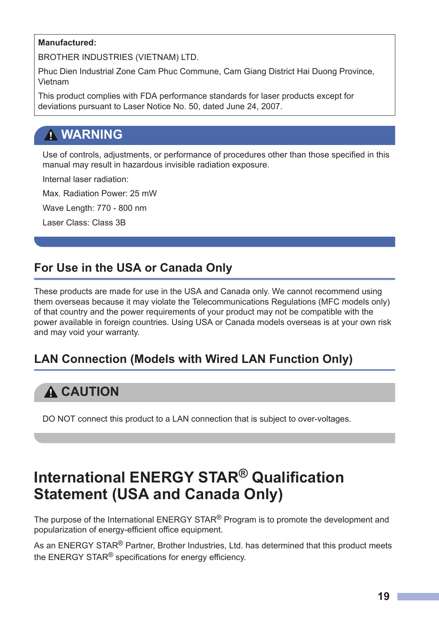#### **Manufactured:**

BROTHER INDUSTRIES (VIETNAM) LTD.

Phuc Dien Industrial Zone Cam Phuc Commune, Cam Giang District Hai Duong Province, Vietnam

This product complies with FDA performance standards for laser products except for deviations pursuant to Laser Notice No. 50, dated June 24, 2007.

### **WARNING**

Use of controls, adjustments, or performance of procedures other than those specified in this manual may result in hazardous invisible radiation exposure.

Internal laser radiation:

Max. Radiation Power: 25 mW

Wave Length: 770 - 800 nm

Laser Class: Class 3B

#### **For Use in the USA or Canada Only**

These products are made for use in the USA and Canada only. We cannot recommend using them overseas because it may violate the Telecommunications Regulations (MFC models only) of that country and the power requirements of your product may not be compatible with the power available in foreign countries. Using USA or Canada models overseas is at your own risk and may void your warranty.

#### **LAN Connection (Models with Wired LAN Function Only)**

### **A CAUTION**

DO NOT connect this product to a LAN connection that is subject to over-voltages.

## **International ENERGY STAR® Qualification Statement (USA and Canada Only)**

The purpose of the International  $\mathsf{ENERG}$  STAR<sup>®</sup> Program is to promote the development and popularization of energy-efficient office equipment.

As an ENERGY STAR<sup>®</sup> Partner, Brother Industries, Ltd. has determined that this product meets the ENERGY STAR<sup>®</sup> specifications for energy efficiency.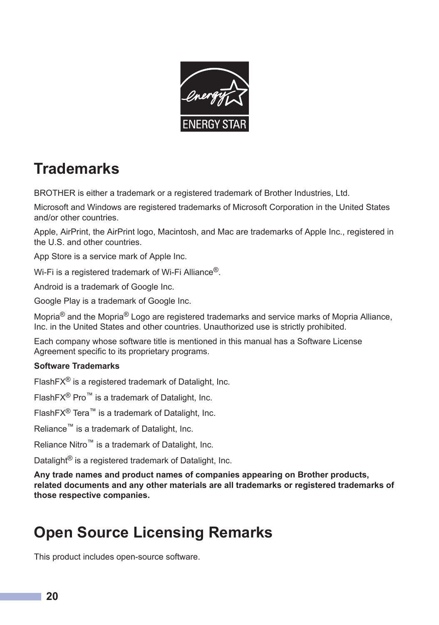

# **Trademarks**

BROTHER is either a trademark or a registered trademark of Brother Industries, Ltd.

Microsoft and Windows are registered trademarks of Microsoft Corporation in the United States and/or other countries.

Apple, AirPrint, the AirPrint logo, Macintosh, and Mac are trademarks of Apple Inc., registered in the U.S. and other countries.

App Store is a service mark of Apple Inc.

Wi-Fi is a registered trademark of Wi-Fi Alliance<sup>®</sup>.

Android is a trademark of Google Inc.

Google Play is a trademark of Google Inc.

Mopria® and the Mopria® Logo are registered trademarks and service marks of Mopria Alliance, Inc. in the United States and other countries. Unauthorized use is strictly prohibited.

Each company whose software title is mentioned in this manual has a Software License Agreement specific to its proprietary programs.

#### **Software Trademarks**

FlashFX® is a registered trademark of Datalight, Inc.

FlashFX® Pro™ is a trademark of Datalight, Inc.

FlashFX® Tera™ is a trademark of Datalight, Inc.

Reliance™ is a trademark of Datalight, Inc.

Reliance Nitro™ is a trademark of Datalight, Inc.

Datalight<sup>®</sup> is a registered trademark of Datalight, Inc.

**Any trade names and product names of companies appearing on Brother products, related documents and any other materials are all trademarks or registered trademarks of those respective companies.**

# **Open Source Licensing Remarks**

This product includes open-source software.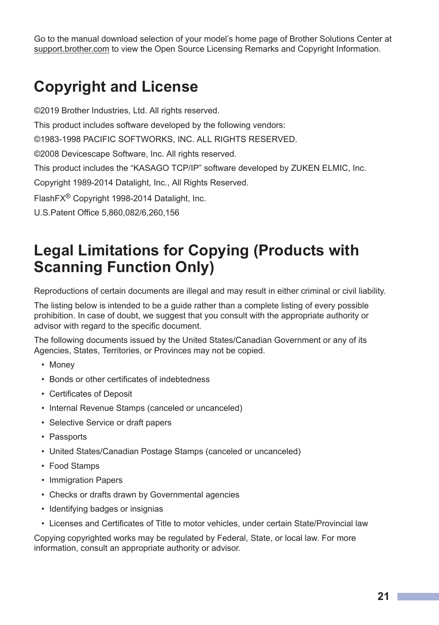Go to the manual download selection of your model's home page of Brother Solutions Center at [support.brother.com](https://support.brother.com/) to view the Open Source Licensing Remarks and Copyright Information.

## **Copyright and License**

©2019 Brother Industries, Ltd. All rights reserved. This product includes software developed by the following vendors: ©1983-1998 PACIFIC SOFTWORKS, INC. ALL RIGHTS RESERVED. ©2008 Devicescape Software, Inc. All rights reserved. This product includes the "KASAGO TCP/IP" software developed by ZUKEN ELMIC, Inc. Copyright 1989-2014 Datalight, Inc., All Rights Reserved. FlashFX® Copyright 1998-2014 Datalight, Inc. U.S.Patent Office 5,860,082/6,260,156

# **Legal Limitations for Copying (Products with Scanning Function Only)**

Reproductions of certain documents are illegal and may result in either criminal or civil liability.

The listing below is intended to be a guide rather than a complete listing of every possible prohibition. In case of doubt, we suggest that you consult with the appropriate authority or advisor with regard to the specific document.

The following documents issued by the United States/Canadian Government or any of its Agencies, States, Territories, or Provinces may not be copied.

- Money
- Bonds or other certificates of indebtedness
- Certificates of Deposit
- Internal Revenue Stamps (canceled or uncanceled)
- Selective Service or draft papers
- Passports
- United States/Canadian Postage Stamps (canceled or uncanceled)
- Food Stamps
- Immigration Papers
- Checks or drafts drawn by Governmental agencies
- Identifying badges or insignias
- Licenses and Certificates of Title to motor vehicles, under certain State/Provincial law

Copying copyrighted works may be regulated by Federal, State, or local law. For more information, consult an appropriate authority or advisor.